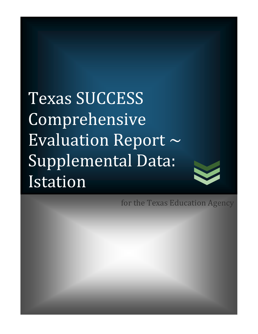Texas SUCCESS Comprehensive Evaluation Report  $\sim$ Supplemental Data: Istation 



for the Texas Education Agency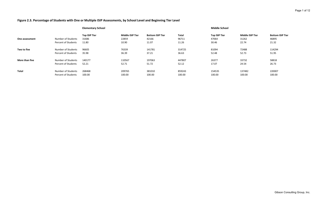### **Figure 2.3. Percentage of Students with One or Multiple ISIP Assessments, by School Level and Beginning Tier Level**

|                |                                           | <b>Elementary School</b>               |                                           |                                           |                         | <b>Middle School</b>                   |                                           |                                           |
|----------------|-------------------------------------------|----------------------------------------|-------------------------------------------|-------------------------------------------|-------------------------|----------------------------------------|-------------------------------------------|-------------------------------------------|
| One assessment | Number of Students<br>Percent of Students | <b>Top ISIP Tier</b><br>31686<br>11.80 | <b>Middle ISIP Tier</b><br>22859<br>10.90 | <b>Bottom ISIP Tier</b><br>42166<br>11.07 | Total<br>96711<br>11.26 | <b>Top ISIP Tier</b><br>47064<br>30.46 | <b>Middle ISIP Tier</b><br>31262<br>22.74 | <b>Bottom ISIP Tier</b><br>46895<br>21.32 |
| Two to five    | Number of Students                        | 96605                                  | 76339                                     | 141781                                    | 314725                  | 81094                                  | 72488                                     | 114294                                    |
|                | Percent of Students                       | 35.98                                  | 36.39                                     | 37.21                                     | 36.63                   | 52.48                                  | 52.73                                     | 51.95                                     |
| More than five | Number of Students                        | 140177                                 | 110567                                    | 197063                                    | 447807                  | 26377                                  | 33732                                     | 58818                                     |
|                | Percent of Students                       | 52.21                                  | 52.71                                     | 51.72                                     | 52.12                   | 17.07                                  | 24.54                                     | 26.73                                     |
| Total          | Number of Students                        | 268468                                 | 209765                                    | 381010                                    | 859243                  | 154535                                 | 137482                                    | 220007                                    |
|                | Percent of Students                       | 100.00                                 | 100.00                                    | 100.00                                    | 100.00                  | 100.00                                 | 100.00                                    | 100.00                                    |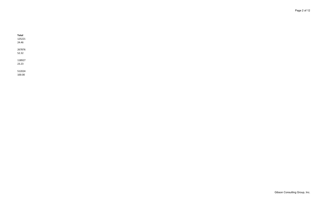**Total** 125221 24.46 267876 52.32 118927 23.23

512024 100.00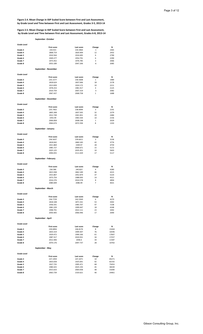**Figure 2.4. Mean Change in ISIP Scaled Score between First and Last Assessment, by Grade Level and Time between First and Last Assessment, Grades 3-5, 2013-14**

### **Figure 2.5. Mean Change in ISIP Scaled Score between First and Last Assessment, by Grade Level and Time between First and Last Assessment, Grades 6-8, 2013-14**

### **September -October**

| <b>Grade Level</b> |                      |                      |                |                |
|--------------------|----------------------|----------------------|----------------|----------------|
|                    |                      |                      | Change         | N              |
| Grade 3            | <b>First score</b>   | Last score           | $-1$           |                |
|                    | 234.915              | 234.3964             |                | 2365           |
| Grade 4            | 1808.719             | 1820.409             | 12             | 2432           |
| Grade 5            | 1910.564             | 1916.695             | 6              | 2790           |
| Grade 6            | 1949.277             | 1954.791             | 6              | 2290           |
| Grade 7            | 1973.452             | 1976.785             | 3              | 2066           |
| Grade 8            | 2053.189             | 2047.206             | $-6$           | 2085           |
|                    |                      |                      |                |                |
|                    | September - November |                      |                |                |
|                    |                      |                      |                |                |
| <b>Grade Level</b> |                      |                      |                |                |
|                    | <b>First score</b>   | Last score           | Change         | Ν              |
| Grade 3            | 235.1577             | 236.5608             | 1              | 1989           |
| Grade 4            | 1818.624             | 1837.006             | 18             | 2178           |
| Grade 5            | 1913.839             | 1924.172             | 10             | 2211           |
| Grade 6            | 1978.253             | 1981.917             | $\overline{4}$ | 2125           |
| Grade 7            | 2010.759             | 2007.319             | -3             | 2082           |
| Grade 8            | 2067.437             | 2068.758             | $\mathbf{1}$   | 1688           |
|                    |                      |                      |                |                |
|                    | September - December |                      |                |                |
|                    |                      |                      |                |                |
| <b>Grade Level</b> |                      |                      |                |                |
|                    | <b>First score</b>   | Last score           | Change         | Ν              |
| Grade 3            | 235.7402             | 238.9094             | 3              | 2191           |
| Grade 4            | 1805.308             | 1837.505             | 32             | 2279           |
| Grade 5            | 1912.749             | 1941.831             | 29             | 2484           |
| Grade 6            | 1955.99              | 1965.544             | 10             | 2156           |
| Grade 7            | 2006.858             | 2008.198             | 1              | 2029           |
| Grade 8            | 2064.674             | 2072.594             | 8              | 1333           |
|                    |                      |                      |                |                |
|                    | September - January  |                      |                |                |
|                    |                      |                      |                |                |
| <b>Grade Level</b> |                      |                      |                |                |
|                    | <b>First score</b>   | Last score           | Change         | Ν              |
| Grade 3            | 236.5637             | 239.6611             | 3              | 3136           |
| Grade 4            | 1818.042             | 1860.183             | 42             | 3776           |
| Grade 5            | 1921.869             | 1949.97              | 28             | 4759           |
| Grade 6            | 1985.727             | 2000.671             | 15             | 5172           |
| Grade 7            | 2025.125             | 2035.451             | 10             | 5603           |
| Grade 8            | 2094.055             | 2111.029             | 17             | 5117           |
|                    |                      |                      |                |                |
|                    |                      |                      |                |                |
|                    | September - February |                      |                |                |
|                    |                      |                      |                |                |
| <b>Grade Level</b> |                      |                      |                |                |
|                    | <b>First score</b>   | Last score           | Change         | Ν              |
| Grade 3            | 236.586              | 240.823              | $\overline{4}$ | 4280           |
| Grade 4            | 1815.938             | 1862.189             | 46             | 4315           |
| Grade 5            | 1915.807             | 1952.879             | 37             | 5224           |
| Grade 6            | 1973.754             | 1988.093             | 14             | 4521           |
| Grade 7            | 2016.276             | 2024.578             | 8              | 4894           |
| Grade 8            | 2080.009             | 2086.99              | 7              | 4021           |
|                    |                      |                      |                |                |
|                    | September - March    |                      |                |                |
|                    |                      |                      |                |                |
| <b>Grade Level</b> |                      |                      |                |                |
|                    | <b>First score</b>   | Last score           | Change         | N              |
| Grade 3            | 236.7729             | 242.5569             | 6              | 4270           |
| Grade 4            | 1818.108             | 1871.541             | 53             | 4302           |
| Grade 5            | 1936.541             | 1983.707             | 47             | 7238           |
| Grade 6            | 1981.229             | 1999.447             | 18             | 4248           |
| Grade 7            | 1998.791             | 2022.111             | 23             | 3492           |
| Grade 8            | 2050.405             | 2066.946             | 17             | 2690           |
|                    |                      |                      |                |                |
|                    | September - April    |                      |                |                |
|                    |                      |                      |                |                |
| <b>Grade Level</b> |                      |                      |                |                |
|                    | <b>First score</b>   | Last score           | Change         | N              |
| Grade 3            | 239.0856             | 246.8176             | 8              | 15444          |
| Grade 4            | 1833.319             | 1909.307             | 76             | 16596          |
| Grade 5            | 1929.472             | 1990.166             | 61             | 17607          |
| Grade 6            | 1987.317             | 2020.931             | 34             | 17257          |
| Grade 7            | 2012.406             | 2046.6               | 34             | 11587          |
| Grade 8            | 2070.176             | 2097.737             | 28             | 10763          |
|                    |                      |                      |                |                |
|                    | September - May      |                      |                |                |
|                    |                      |                      |                |                |
| <b>Grade Level</b> |                      |                      |                |                |
|                    | <b>First score</b>   | Last score           | Change         | N              |
| Grade 3            | 237.1959             | 247.2071             | 10             | 85271          |
| Grade 4            | 1833.658             | 1925.691             | 92             | 82192          |
| Grade 5            | 1927.735             | 1995.471             | 68             | 75053          |
| Grade 6            | 1980.425             | 2025.193             | 45             | 38339          |
| Grade 7<br>Grade 8 | 2015.633<br>2063.739 | 2064.058<br>2103.621 | 48<br>40       | 31690<br>24461 |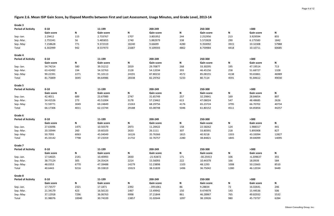**Figure 2.6. Mean ISIP Gain Score, by Elapsed Months between First and Last Assessment, Usage Minutes, and Grade Level, 2013-14**

| Grade 3                   |                   |       |                   |       |                   |                           |                   |      |                   |              |
|---------------------------|-------------------|-------|-------------------|-------|-------------------|---------------------------|-------------------|------|-------------------|--------------|
| <b>Period of Activity</b> | $0 - 10$          |       | 11-199            |       | 200-249           |                           | 250-300           |      | $>300$            |              |
|                           | Gain score        | N     | <b>Gain score</b> | N     | Gain score        | $\boldsymbol{\mathsf{N}}$ | <b>Gain score</b> | N    | <b>Gain score</b> | N            |
| Sep.-Jan.                 | 2.29412           | 115   | 2.733767          | 1707  | 3.801952          | 244                       | 2.252956          | 213  | 3.929594          | 855          |
| Sep.-Mar.                 | 2.755341          | 56    | 5.485855          | 1740  | 5.882979          | 338                       | 5.572828          | 290  | 6.175583          | 1842         |
| Sep.-May                  | 7.158628          | 771   | 9.372319          | 18240 | 9.66699           | 4280                      | 9.350092          | 3915 | 10.32308          | 57988        |
| Total                     | 6.302999          | 942   | 8.537973          | 21687 | 9.109593          | 4862                      | 8.759984          | 4418 | 10.10711          | 60685        |
| Grade 4                   |                   |       |                   |       |                   |                           |                   |      |                   |              |
| <b>Period of Activity</b> | $0 - 10$          |       | 11-199            |       | 200-249           |                           | 250-300           |      | $>300$            |              |
|                           | <b>Gain score</b> | N     | Gain score        | N     | Gain score        | N                         | Gain score        | N    | <b>Gain score</b> | N            |
| Sep.-Jan.                 | 54.74214          | 580   | 39.31212          | 2019  | 29.70877          | 268                       | 33.30295          | 195  | 47.19514          | 713          |
| Sep.-Mar.                 | 63.42492          | 194   | 54.32763          | 2128  | 54.12034          | 393                       | 46.45156          | 258  | 51.68727          | 1328         |
| Sep.-May                  | 90.22391          | 2271  | 91.10113          | 24191 | 87.80232          | 4572                      | 85.08155          | 4138 | 93.65861          | 46989        |
| Total                     | 81.75809          | 3045  | 84.64986          | 28338 | 82.29762          | 5233                      | 80.7114           | 4591 | 91.84612          | 49030        |
| Grade 5                   |                   |       |                   |       |                   |                           |                   |      |                   |              |
| <b>Period of Activity</b> | $0 - 10$          |       | 11-199            |       | 200-249           |                           | 250-300           |      | $>300$            |              |
|                           | Gain score        | N     | <b>Gain score</b> | N     | Gain score        | N                         | Gain score        | N    | <b>Gain score</b> | N            |
| Sep.-Jan.                 | 42.4011           | 689   | 23.67989          | 2747  | 31.65749          | 257                       | 32.29841          | 169  | 28.84654          | 897          |
| Sep.-Mar.                 | 54.41526          | 273   | 43.51004          | 3178  | 57.23462          | 613                       | 47.08024          | 547  | 48.48685          | 2626         |
| Sep.-May                  | 72.59771          | 3049  | 69.24849          | 23263 | 68.29756          | 4176                      | 65.23724          | 3795 | 66.70702          | 40734        |
| Total                     | 66.17306          | 4011  | 62.15744          | 29188 | 65.08748          | 5046                      | 61.80152          | 4511 | 64.85856          | 44257        |
| Grade 6                   |                   |       |                   |       |                   |                           |                   |      |                   |              |
| <b>Period of Activity</b> | $0 - 10$          |       | 11-199            |       | 200-249           |                           | 250-300           |      | $>300$            |              |
|                           | Gain score        | N     | <b>Gain score</b> | N     | <b>Gain score</b> | N                         | Gain score        | N    | Gain score        | $\mathsf{N}$ |
| Sep.-Jan.                 | 27.63096          | 1475  | 10.50379          | 2973  | 11.28422          | 158                       | 22.58262          | 124  | 1.988317          | 441          |
| Sep.-Mar.                 | 20.33944          | 260   | 19.60103          | 2633  | 26.1111           | 307                       | 33.80391          | 218  | 5.895908          | 827          |
| Sep.-May                  | 50.7093           | 6063  | 45.04049          | 16126 | 35.76366          | 1815                      | 40.9218           | 1503 | 43.33094          | 12827        |
| Total                     | 45.33142          | 7798  | 37.23359          | 21732 | 32.76757          | 2280                      | 38.84821          | 1845 | 39.84099          | 14095        |
| Grade 7                   |                   |       |                   |       |                   |                           |                   |      |                   |              |
| <b>Period of Activity</b> | $0 - 10$          |       | 11-199            |       | 200-249           |                           | 250-300           |      | $>300$            |              |
|                           | Gain score        | N     | Gain score        | N     | Gain score        | N                         | Gain score        | N    | <b>Gain score</b> | N            |
| Sep.-Jan.                 | 17.54025          | 2141  | 10.40993          | 2830  | $-21.92872$       | 171                       | $-30.25913$       | 106  | $-6.209637$       | 355          |
| Sep.-Mar.                 | 38.77124          | 305   | 24.35424          | 2214  | 15.56093          | 222                       | 10.44379          | 166  | 18.0939           | 584          |
| Sep.-May                  | 48.0353           | 6770  | 47.39488          | 14279 | 52.23898          | 1103                      | 48.1293           | 1008 | 50.22663          | 8510         |
| Total                     | 40.6443           | 9216  | 39.33819          | 19323 | 38.31839          | 1496                      | 36.75042          | 1280 | 46.12034          | 9449         |
| Grade 8                   |                   |       |                   |       |                   |                           |                   |      |                   |              |
| <b>Period of Activity</b> | $0 - 10$          |       | 11-199            |       | 200-249           |                           | 250-300           |      | $>300$            |              |
|                           | Gain score        | N     | <b>Gain score</b> | N     | <b>Gain score</b> | N                         | Gain score        | N    | Gain score        | N            |
| Sep.-Jan.                 | 17.73577          | 2321  | 17.1871           | 2392  | $-.3951061$       | 86                        | 9.28834           | 72   | 16.02641          | 246          |
| Sep.-Mar.                 | 21.34179          | 423   | 16.56133          | 1467  | 13.49942          | 150                       | 9.474979          | 143  | 15.44536          | 506          |
| Sep.-May                  | 37.12918          | 7296  | 36.06763          | 9998  | 37.21844          | 861                       | 46.28967          | 765  | 49.82932          | 5532         |
| Total                     | 31.98076          | 10040 | 30.74339          | 13857 | 31.02644          | 1097                      | 38.19926          | 980  | 45.73737          | 6284         |

| Gain score | N     |
|------------|-------|
| 3.929594   | 855   |
| 6.175583   | 1842  |
| 10.32308   | 57988 |
| 10.10711   | 60685 |
|            |       |

| Gain score | N     |
|------------|-------|
| 47.19514   | 713   |
| 51.68727   | 1328  |
| 93.65861   | 46989 |
| 91.84612   | 49030 |
|            |       |

| Gain score | N     |
|------------|-------|
| 28.84654   | 897   |
| 48.48685   | 2626  |
| 66.70702   | 40734 |
| 64.85856   | 44257 |

| Gain score | Ν     |
|------------|-------|
| 1.988317   | 441   |
| 5.895908   | 827   |
| 43.33094   | 12827 |
| 39.84099   | 14095 |

| Gain score  | Ν    |
|-------------|------|
| $-6.209637$ | 355  |
| 18.0939     | 584  |
| 50.22663    | 8510 |
| 46.12034    | 9449 |
|             |      |

| Gain score | Ν    |
|------------|------|
| 16.02641   | 246  |
| 15.44536   | 506  |
| 49.82932   | 5532 |
| 45.73737   | 6284 |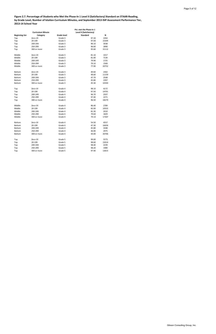**Figure 2.7. Percentage of Students who Met the Phase-In 1 Level II (Satisfactory) Standard on STAAR-Reading, by Grade Level, Number of Istation Curriculum Minutes, and September 2013 ISIP Assessment Performance Tier, 2013-14 School Year**

|                       |                          |                    | Pct. met the Phase-in 1 |       |
|-----------------------|--------------------------|--------------------|-------------------------|-------|
|                       | <b>Curriculum Minute</b> |                    | Level II (Satisfactory) |       |
| <b>Beginning tier</b> | Category                 | <b>Grade level</b> | <b>Standard</b>         | Ν     |
| Top                   | Zero-19                  | Grade 3            | 97.30                   | 2264  |
| Top                   | 20-199                   | Grade 3            | 97.00                   | 15304 |
| Top                   | 200-249                  | Grade 3            | 96.10                   | 3038  |
| Top                   | 250-299                  | Grade 3            | 96.60                   | 2890  |
| Top                   | 300 or more              | Grade 3            | 95.60                   | 31112 |
| Middle                | Zero-19                  | Grade 3            | 81.10                   | 1017  |
| Middle                | 20-199                   | Grade 3            | 81.00                   | 7130  |
| Middle                | 200-249                  | Grade 3            | 79.90                   | 1725  |
| Middle                | 250-299                  | Grade 3            | 79.10                   | 1569  |
| Middle                | 300 or more              | Grade 3            | 77.90                   | 20752 |
| Bottom                | Zero-19                  | Grade 3            | 49.60                   | 2302  |
| Bottom                | 20-199                   | Grade 3            | 48.60                   | 11159 |
| Bottom                | 200-249                  | Grade 3            | 47.70                   | 2508  |
| Bottom                | 250-299                  | Grade 3            | 45.80                   | 2397  |
| Bottom                | 300 or more              | Grade 3            | 45.30                   | 32593 |
| Top                   | Zero-19                  | Grade 4            | 98.10                   | 4172  |
| Top                   | 20-199                   | Grade 4            | 97.50                   | 14701 |
| Top                   | 200-249                  | Grade 4            | 96.70                   | 2507  |
| Top                   | 250-299                  | Grade 4            | 97.40                   | 2271  |
| Top                   | 300 or more              | Grade 4            | 96.50                   | 18270 |
| Middle                | Zero-19                  | Grade 4            | 86.40                   | 2789  |
| Middle                | 20-199                   | Grade 4            | 82.00                   | 10555 |
| Middle                | 200-249                  | Grade 4            | 81.30                   | 2010  |
| Middle                | 250-299                  | Grade 4            | 79.60                   | 1829  |
| Middle                | 300 or more              | Grade 4            | 79.10                   | 17307 |
| Bottom                | Zero-19                  | Grade 4            | 54.50                   | 4557  |
| Bottom                | 20-199                   | Grade 4            | 47.30                   | 16656 |
| Bottom                | 200-249                  | Grade 4            | 45.80                   | 3348  |
| Bottom                | 250-299                  | Grade 4            | 46.00                   | 2975  |
| Bottom                | 300 or more              | Grade 4            | 44.00                   | 30766 |
| Top                   | Zero-19                  | Grade 5            | 99.00                   | 5573  |
| Top                   | 20-199                   | Grade 5            | 98.60                   | 15014 |
| Top                   | 200-249                  | Grade 5            | 98.40                   | 2239  |
| Top                   | 250-299                  | Grade 5            | 98.20                   | 1980  |
| Top                   | 300 or more              | Grade 5            | 97.90                   | 13615 |

Gibson Consulting Group, Inc.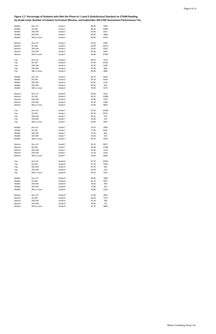**Figure 2.7. Percentage of Students who Met the Phase-In 1 Level II (Satisfactory) Standard on STAAR-Reading, by Grade Level, Number of Istation Curriculum Minutes, and September 2013 ISIP Assessment Performance Tier,** 

| Middle        | Zero-19     | Grade 5 | 89.80 | 4050  |
|---------------|-------------|---------|-------|-------|
| Middle        | 20-199      | Grade 5 | 88.20 | 11887 |
| Middle        | 200-249     | Grade 5 | 87.80 | 2027  |
| Middle        | 250-299     | Grade 5 | 84.90 | 1868  |
|               |             |         |       |       |
| Middle        | 300 or more | Grade 5 | 84.40 | 14551 |
| Bottom        | Zero-19     | Grade 5 | 56.50 | 5469  |
| Bottom        | 20-199      | Grade 5 | 50.80 | 18710 |
| Bottom        | 200-249     | Grade 5 | 50.00 | 3592  |
| Bottom        | 250-299     | Grade 5 | 49.30 | 3097  |
| Bottom        | 300 or more | Grade 5 | 46.80 | 27364 |
|               |             |         |       |       |
| Top           | Zero-19     | Grade 6 | 98.10 | 7322  |
| Top           | 20-199      | Grade 6 | 97.40 | 10232 |
| Top           | 200-249     | Grade 6 | 97.30 | 1090  |
| Top           | 250-299     | Grade 6 | 97.80 | 846   |
| Top           | 300 or more | Grade 6 | 96.90 | 3885  |
| Middle        | Zero-19     | Grade 6 | 84.70 | 6642  |
| Middle        | 20-199      | Grade 6 | 83.20 | 9769  |
| Middle        | 200-249     | Grade 6 | 82.30 | 1167  |
| Middle        | 250-299     | Grade 6 | 82.30 | 918   |
| Middle        | 300 or more | Grade 6 | 78.90 | 5673  |
|               |             |         |       |       |
| <b>Bottom</b> | Zero-19     | Grade 6 | 49.40 | 7616  |
| <b>Bottom</b> | 20-199      | Grade 6 | 46.10 | 12868 |
| Bottom        | 200-249     | Grade 6 | 45.80 | 1765  |
| Bottom        | 250-299     | Grade 6 | 45.30 | 1286  |
| <b>Bottom</b> | 300 or more | Grade 6 | 41.80 | 9859  |
|               |             |         |       |       |
| Top           | Zero-19     | Grade 7 | 97.20 | 10384 |
| Top           | 20-199      | Grade 7 | 96.20 | 8576  |
| Top           | 200-249     | Grade 7 | 96.10 | 539   |
| Top           | 250-299     | Grade 7 | 93.90 | 378   |
| Top           | 300 or more | Grade 7 | 93.80 | 2097  |
| Middle        | Zero-19     | Grade 7 | 79.70 | 7964  |
|               |             |         |       |       |
| Middle        | 20-199      | Grade 7 | 77.90 | 8241  |
| Middle        | 200-249     | Grade 7 | 75.20 | 662   |
| Middle        | 250-299     | Grade 7 | 74.20 | 524   |
| Middle        | 300 or more | Grade 7 | 69.70 | 3444  |
| <b>Bottom</b> | Zero-19     | Grade 7 | 40.10 | 8975  |
| Bottom        | 20-199      | Grade 7 | 36.80 | 11388 |
| Bottom        | 200-249     | Grade 7 | 33.80 | 1218  |
| Bottom        | 250-299     | Grade 7 | 31.50 | 1010  |
| Bottom        | 300 or more | Grade 7 | 30.90 | 6836  |
|               |             |         |       |       |
| Top           | Zero-19     | Grade 8 | 97.70 | 10762 |
| Top           | 20-199      | Grade 8 | 97.10 | 7344  |
| Top           | 200-249     | Grade 8 | 95.70 | 444   |
| Top           | 250-299     | Grade 8 | 94.90 | 316   |
| Top           | 300 or more | Grade 8 | 94.20 | 1501  |
| Middle        | Zero-19     | Grade 8 | 84.40 | 7488  |
| Middle        | 20-199      | Grade 8 | 82.70 | 5947  |
| Middle        | 200-249     | Grade 8 | 79.40 | 490   |
| Middle        | 250-299     | Grade 8 | 77.80 | 423   |
| Middle        | 300 or more | Grade 8 | 78.80 | 2238  |
|               |             |         |       |       |
| Bottom        | Zero-19     | Grade 8 | 51.00 | 7865  |
| Bottom        | 20-199      | Grade 8 | 46.50 | 7572  |
| Bottom        | 200-249     | Grade 8 | 45.30 | 786   |
| Bottom        | 250-299     | Grade 8 | 43.60 | 713   |
| Bottom        | 300 or more | Grade 8 | 41.70 | 3894  |
|               |             |         |       |       |

Gibson Consulting Group, Inc.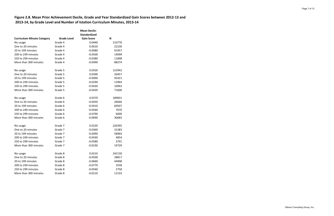# **Figure 2.8. Mean Prior Achievement Decile, Grade and Year Standardized Gain Scores between 2012-13 and 2013-14, by Grade Level and Number of Istation Curriculum Minutes, 2013-14**

|                                   |                    | <b>Mean Decile-</b> |        |
|-----------------------------------|--------------------|---------------------|--------|
|                                   |                    | <b>Standardized</b> |        |
| <b>Curriculum Minute Category</b> | <b>Grade Level</b> | <b>Gain Score</b>   | N      |
| No usage                          | Grade 4            | 0.0440              | 110776 |
| One to 20 minutes                 | Grade 4            | 0.0610              | 22236  |
| 20 to 199 minutes                 | Grade 4            | $-0.0080$           | 91957  |
| 200 to 249 minutes                | Grade 4            | $-0.0500$           | 14099  |
| 250 to 299 minutes                | Grade 4            | $-0.0380$           | 11898  |
| More than 300 minutes             | Grade 4            | $-0.0490$           | 88274  |
| No usage                          | Grade 5            | 0.0320              | 122942 |
| One to 20 minutes                 | Grade 5            | 0.0300              | 26457  |
| 20 to 199 minutes                 | Grade 5            | $-0.0090$           | 92421  |
| 200 to 249 minutes                | Grade 5            | $-0.0290$           | 12964  |
| 250 to 299 minutes                | Grade 5            | $-0.0420$           | 10943  |
| More than 300 minutes             | Grade 5            | $-0.0420$           | 71606  |
| No usage                          | Grade 6            | 0.0370              | 189831 |
| One to 20 minutes                 | Grade 6            | $-0.0450$           | 26646  |
| 20 to 199 minutes                 | Grade 6            | $-0.0410$           | 69507  |
| 200 to 249 minutes                | Grade 6            | $-0.0560$           | 7670   |
| 250 to 299 minutes                | Grade 6            | $-0.0790$           | 6000   |
| More than 300 minutes             | Grade 6            | $-0.0690$           | 30683  |
| No usage                          | Grade 7            | 0.0220              | 220395 |
| One to 20 minutes                 | Grade 7            | $-0.0360$           | 31383  |
| 20 to 199 minutes                 | Grade 7            | $-0.0490$           | 58964  |
| 200 to 249 minutes                | Grade 7            | $-0.0430$           | 4854   |
| 250 to 299 minutes                | Grade 7            | $-0.0580$           | 3791   |
| More than 300 minutes             | Grade 7            | $-0.0230$           | 19729  |
| No usage                          | Grade 8            | 0.0210              | 242130 |
| One to 20 minutes                 | Grade 8            | $-0.0500$           | 28817  |
| 20 to 199 minutes                 | Grade 8            | $-0.0660$           | 44908  |
| 200 to 249 minutes                | Grade 8            | $-0.0770$           | 3558   |
| 250 to 299 minutes                | Grade 8            | $-0.0560$           | 2758   |
| More than 300 minutes             | Grade 8            | $-0.0210$           | 11533  |

Page 7 of 12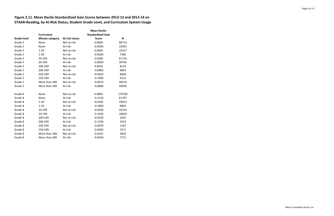# **Figure 2.11. Mean Decile-Standardized Gain Scores between 2012-13 and 2013-14 on STAAR-Reading, by At-Risk Status, Student Grade Level, and Curriculum System Usage**

|                    |                        |                       | <b>Mean Decile-</b>      |        |
|--------------------|------------------------|-----------------------|--------------------------|--------|
|                    | <b>Curriculum</b>      |                       | <b>Standardized Gain</b> |        |
| <b>Grade level</b> | <b>Minute category</b> | <b>At-risk status</b> | <b>Score</b>             | N      |
| Grade 5            | None                   | Not at-risk           | 0.0660                   | 88714  |
| Grade 5            | None                   | At-risk               | $-0.0590$                | 33955  |
| Grade 5            | $1 - 20$               | Not at-risk           | 0.0660                   | 19157  |
| Grade 5            | $1 - 20$               | At-risk               | $-0.0630$                | 7300   |
| Grade 5            | 20-199                 | Not at-risk           | 0.0280                   | 61716  |
| Grade 5            | 20-199                 | At-risk               | $-0.0830$                | 30705  |
| Grade 5            | 200-249                | Not at-risk           | 0.0050                   | 8110   |
| Grade 5            | 200-249                | At-risk               | $-0.0860$                | 4854   |
| Grade 5            | 250-299                | Not at-risk           | $-0.0020$                | 6828   |
| Grade 5            | 250-299                | At-risk               | $-0.1090$                | 4115   |
| Grade 5            | More than 300          | Not at-risk           | $-0.0070$                | 40670  |
| Grade 5            | More than 300          | At-risk               | $-0.0880$                | 30936  |
|                    |                        |                       |                          |        |
| Grade 8            | None                   | Not at-risk           | 0.0800                   | 179769 |
| Grade 8            | None                   | At-risk               | $-0.1510$                | 61797  |
| Grade 8            | $1 - 20$               | Not at-risk           | 0.0100                   | 19013  |
| Grade 8            | $1 - 20$               | At-risk               | $-0.1660$                | 9804   |
| Grade 8            | 20-199                 | Not at-risk           | $-0.0030$                | 26254  |
| Grade 8            | 20-199                 | At-risk               | $-0.1550$                | 18654  |
| Grade 8            | 200-249                | Not at-risk           | $-0.0230$                | 1635   |
| Grade 8            | 200-249                | At-risk               | $-0.1230$                | 1923   |
| Grade 8            | 250-299                | Not at-risk           | $-0.0070$                | 1187   |
| Grade 8            | 250-299                | At-risk               | $-0.0940$                | 1571   |
| Grade 8            | More than 300          | Not at-risk           | 0.0230                   | 3818   |
| Grade 8            | More than 300          | At-risk               | $-0.0430$                | 7715   |

Page 8 of 12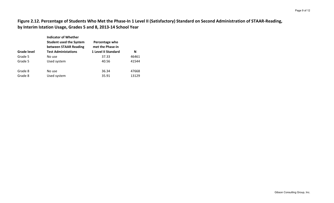**Figure 2.12. Percentage of Students Who Met the Phase-In 1 Level II (Satisfactory) Standard on Second Administration of STAAR-Reading, by Interim Istation Usage, Grades 5 and 8, 2013-14 School Year**

|                    | <b>Indicator of Whether</b><br><b>Student used the System</b><br>between STAAR Reading | Percentage who<br>met the Phase-in |       |
|--------------------|----------------------------------------------------------------------------------------|------------------------------------|-------|
| <b>Grade level</b> | <b>Test Administations</b>                                                             | <b>1 Level II Standard</b>         | N     |
| Grade 5            | No use                                                                                 | 37.33                              | 46461 |
| Grade 5            | Used system                                                                            | 40.56                              | 41544 |
| Grade 8            | No use                                                                                 | 36.34                              | 47668 |
| Grade 8            | Used system                                                                            | 35.91                              | 13129 |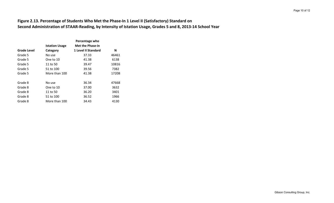### **Figure 2.13. Percentage of Students Who Met the Phase-In 1 Level II (Satisfactory) Standard on Second Administration of STAAR-Reading, by Intensity of Istation Usage, Grades 5 and 8, 2013-14 School Year**

|             | Percentage who        |                         |       |
|-------------|-----------------------|-------------------------|-------|
|             | <b>Istation Usage</b> | <b>Met the Phase-in</b> |       |
| Grade Level | Category              | 1 Level II Standard     | N     |
| Grade 5     | No use                | 37.33                   | 46461 |
| Grade 5     | One to 10             | 41.38                   | 6138  |
| Grade 5     | 11 to 50              | 39.47                   | 10816 |
| Grade 5     | 51 to 100             | 39.56                   | 7382  |
| Grade 5     | More than 100         | 41.38                   | 17208 |
|             |                       |                         |       |
| Grade 8     | No use                | 36.34                   | 47668 |
| Grade 8     | One to 10             | 37.00                   | 3632  |
| Grade 8     | 11 to 50              | 36.20                   | 3401  |
| Grade 8     | 51 to 100             | 36.52                   | 1966  |
| Grade 8     | More than 100         | 34.43                   | 4130  |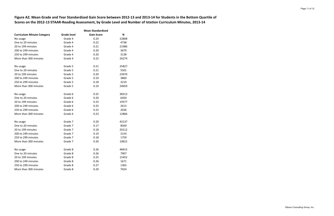**Figure A2. Mean Grade and Year Standardized Gain Score between 2012-13 and 2013-14 for Students in the Bottom Quartile of Scores on the 2012-13 STAAR-Reading Assessment, by Grade Level and Number of Istation Curriculum Minutes, 2013-14**

|                                   | <b>Mean Standardized</b> |                   |       |  |
|-----------------------------------|--------------------------|-------------------|-------|--|
| <b>Curriculum Minute Category</b> | <b>Grade level</b>       | <b>Gain Score</b> | N     |  |
| No usage                          | Grade 4                  | 0.24              | 22808 |  |
| One to 20 minutes                 | Grade 4                  | 0.22              | 4738  |  |
| 20 to 199 minutes                 | Grade 4                  | 0.21              | 21986 |  |
| 200 to 249 minutes                | Grade 4                  | 0.20              | 3679  |  |
| 250 to 299 minutes                | Grade 4                  | 0.20              | 3138  |  |
| More than 300 minutes             | Grade 4                  | 0.22              | 26274 |  |
| No usage                          | Grade 5                  | 0.21              | 25827 |  |
| One to 20 minutes                 | Grade 5                  | 0.21              | 5501  |  |
| 20 to 199 minutes                 | Grade 5                  | 0.20              | 23970 |  |
| 200 to 249 minutes                | Grade 5                  | 0.19              | 3860  |  |
| 250 to 299 minutes                | Grade 5                  | 0.18              | 3219  |  |
| More than 300 minutes             | Grade 5                  | 0.19              | 24659 |  |
| No usage                          | Grade 6                  | 0.25              | 38313 |  |
| One to 20 minutes                 | Grade 6                  | 0.20              | 6450  |  |
| 20 to 199 minutes                 | Grade 6                  | 0.23              | 19377 |  |
| 200 to 249 minutes                | Grade 6                  | 0.25              | 2613  |  |
| 250 to 299 minutes                | Grade 6                  | 0.22              | 2036  |  |
| More than 300 minutes             | Grade 6                  | 0.23              | 12866 |  |
| No usage                          | Grade 7                  | 0.20              | 43137 |  |
| One to 20 minutes                 | Grade 7                  | 0.17              | 8569  |  |
| 20 to 199 minutes                 | Grade 7                  | 0.18              | 20112 |  |
| 200 to 249 minutes                | Grade 7                  | 0.19              | 2154  |  |
| 250 to 299 minutes                | Grade 7                  | 0.18              | 1759  |  |
| More than 300 minutes             | Grade 7                  | 0.20              | 10815 |  |
| No usage                          | Grade 8                  | 0.26              | 48415 |  |
| One to 20 minutes                 | Grade 8                  | 0.26              | 7907  |  |
| 20 to 199 minutes                 | Grade 8                  | 0.25              | 15452 |  |
| 200 to 249 minutes                | Grade 8                  | 0.26              | 1671  |  |
| 250 to 299 minutes                | Grade 8                  | 0.27              | 1365  |  |
| More than 300 minutes             | Grade 8                  | 0.29              | 7024  |  |

Page 11 of 12

Gibson Consulting Group, Inc.